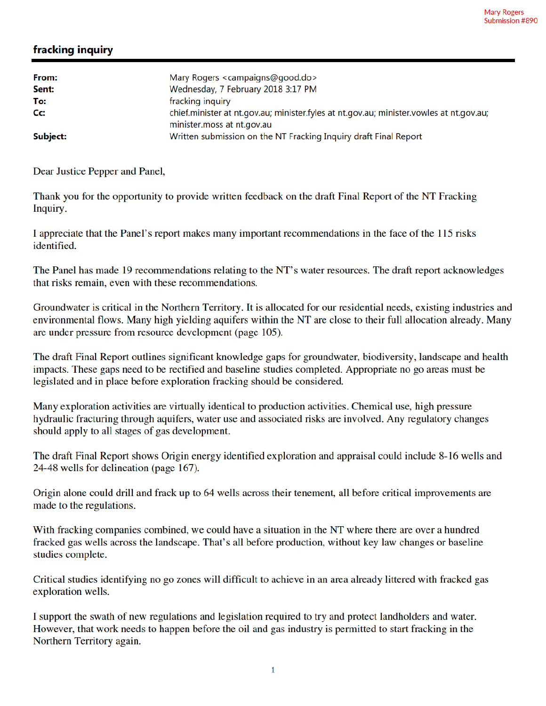## fracking inquiry

| From:    | Mary Rogers <campaigns@good.do></campaigns@good.do>                                            |
|----------|------------------------------------------------------------------------------------------------|
| Sent:    | Wednesday, 7 February 2018 3:17 PM                                                             |
| To:      | fracking inquiry                                                                               |
| Cc:      | chief.minister at nt.gov.au; minister.fyles at nt.gov.au; minister.vowles at nt.gov.au;        |
| Subject: | minister.moss at nt.gov.au<br>Written submission on the NT Fracking Inquiry draft Final Report |

Dear Justice Pepper and Panel,

Thank you for the opportunity to provide written feedback on the draft Final Report of the NT Fracking Inquiry.

I appreciate that the Panel's report makes many important recommendations in the face of the 115 risks identified.

The Panel has made 19 recommendations relating to the NT's water resources. The draft report acknowledges that risks remain, even with these recommendations.

Groundwater is critical in the Northern Territory. It is allocated for our residential needs, existing industries and environmental flows. Many high yielding aquifers within the NT are close to their full allocation already. Many are under pressure from resource development (page 105).

The draft Final Report outlines significant knowledge gaps for groundwater, biodiversity, landscape and health impacts. These gaps need to be rectified and baseline studies completed. Appropriate no go areas must be legislated and in place before exploration fracking should be considered.

Many exploration activities are virtually identical to production activities. Chemical use, high pressure hydraulic fracturing through aquifers, water use and associated risks are involved. Any regulatory changes should apply to all stages of gas development.

The draft Final Report shows Origin energy identified exploration and appraisal could include 8-16 wells and 24-48 wells for delineation (page 167).

Origin alone could drill and frack up to 64 wells across their tenement, all before critical improvements are made to the regulations.

With fracking companies combined, we could have a situation in the NT where there are over a hundred fracked gas wells across the landscape. That's all before production, without key law changes or baseline studies complete.

Critical studies identifying no go zones will difficult to achieve in an area already littered with fracked gas exploration wells.

I support the swath of new regulations and legislation required to try and protect landholders and water. However, that work needs to happen before the oil and gas industry is permitted to start fracking in the Northern Territory again.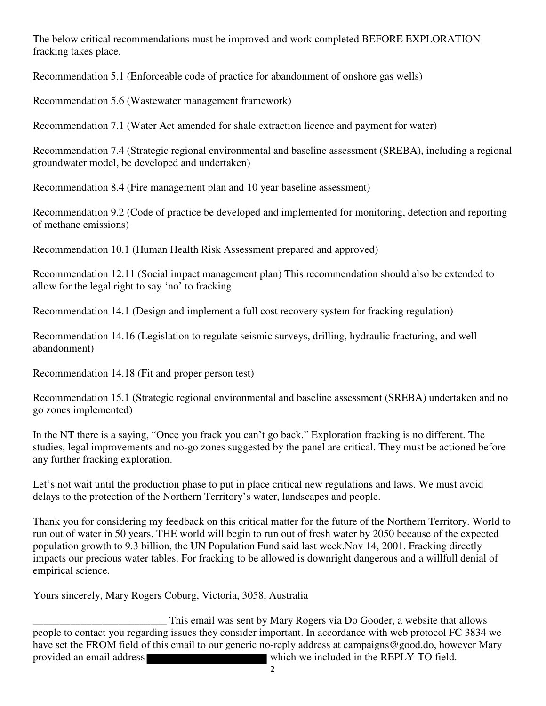The below critical recommendations must be improved and work completed BEFORE EXPLORATION fracking takes place.

Recommendation 5.1 (Enforceable code of practice for abandonment of onshore gas wells)

Recommendation 5.6 (Wastewater management framework)

Recommendation 7.1 (Water Act amended for shale extraction licence and payment for water)

Recommendation 7.4 (Strategic regional environmental and baseline assessment (SREBA), including a regional groundwater model, be developed and undertaken)

Recommendation 8.4 (Fire management plan and 10 year baseline assessment)

Recommendation 9.2 (Code of practice be developed and implemented for monitoring, detection and reporting of methane emissions)

Recommendation 10.1 (Human Health Risk Assessment prepared and approved)

Recommendation 12.11 (Social impact management plan) This recommendation should also be extended to allow for the legal right to say 'no' to fracking.

Recommendation 14.1 (Design and implement a full cost recovery system for fracking regulation)

Recommendation 14.16 (Legislation to regulate seismic surveys, drilling, hydraulic fracturing, and well abandonment)

Recommendation 14.18 (Fit and proper person test)

Recommendation 15.1 (Strategic regional environmental and baseline assessment (SREBA) undertaken and no go zones implemented)

In the NT there is a saying, "Once you frack you can't go back." Exploration fracking is no different. The studies, legal improvements and no-go zones suggested by the panel are critical. They must be actioned before any further fracking exploration.

Let's not wait until the production phase to put in place critical new regulations and laws. We must avoid delays to the protection of the Northern Territory's water, landscapes and people.

Thank you for considering my feedback on this critical matter for the future of the Northern Territory. World to run out of water in 50 years. THE world will begin to run out of fresh water by 2050 because of the expected population growth to 9.3 billion, the UN Population Fund said last week.Nov 14, 2001. Fracking directly impacts our precious water tables. For fracking to be allowed is downright dangerous and a willfull denial of empirical science.

Yours sincerely, Mary Rogers Coburg, Victoria, 3058, Australia

This email was sent by Mary Rogers via Do Gooder, a website that allows<br>people to contact you regarding issues they consider important. In accordance with web protocol FC 3834 we have set the FROM field of this email to our generic no-reply address at campaigns@good.do, however Mary provided an email address which we included in the REPLY-TO field.